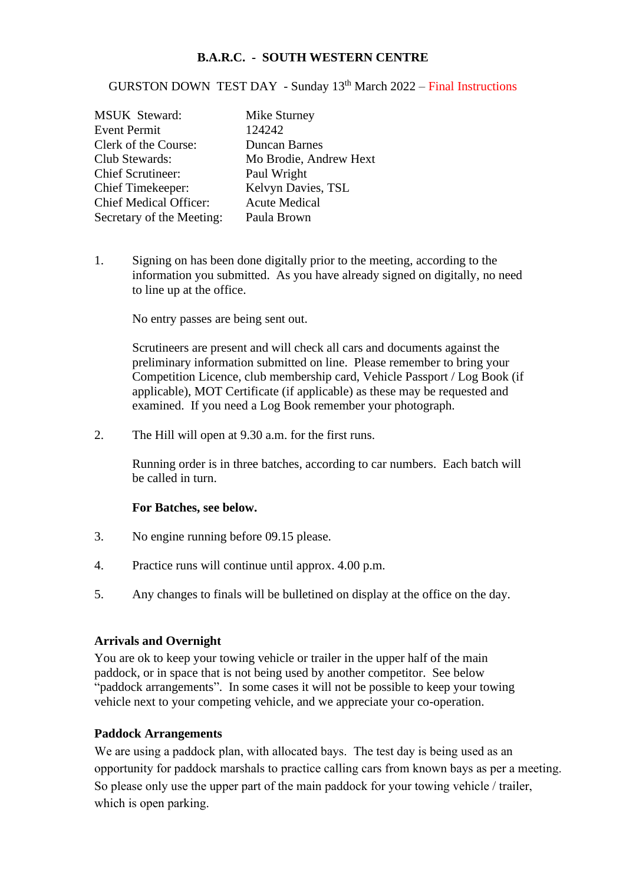## **B.A.R.C. - SOUTH WESTERN CENTRE**

GURSTON DOWN TEST DAY - Sunday 13<sup>th</sup> March 2022 - Final Instructions

| <b>MSUK</b> Steward:          | Mike Sturney           |
|-------------------------------|------------------------|
| <b>Event Permit</b>           | 124242                 |
| Clerk of the Course:          | <b>Duncan Barnes</b>   |
| Club Stewards:                | Mo Brodie, Andrew Hext |
| <b>Chief Scrutineer:</b>      | Paul Wright            |
| <b>Chief Timekeeper:</b>      | Kelvyn Davies, TSL     |
| <b>Chief Medical Officer:</b> | <b>Acute Medical</b>   |
| Secretary of the Meeting:     | Paula Brown            |

1. Signing on has been done digitally prior to the meeting, according to the information you submitted. As you have already signed on digitally, no need to line up at the office.

No entry passes are being sent out.

Scrutineers are present and will check all cars and documents against the preliminary information submitted on line. Please remember to bring your Competition Licence, club membership card, Vehicle Passport / Log Book (if applicable), MOT Certificate (if applicable) as these may be requested and examined. If you need a Log Book remember your photograph.

2. The Hill will open at 9.30 a.m. for the first runs.

Running order is in three batches, according to car numbers. Each batch will be called in turn.

## **For Batches, see below.**

- 3. No engine running before 09.15 please.
- 4. Practice runs will continue until approx. 4.00 p.m.
- 5. Any changes to finals will be bulletined on display at the office on the day.

## **Arrivals and Overnight**

You are ok to keep your towing vehicle or trailer in the upper half of the main paddock, or in space that is not being used by another competitor. See below "paddock arrangements". In some cases it will not be possible to keep your towing vehicle next to your competing vehicle, and we appreciate your co-operation.

## **Paddock Arrangements**

We are using a paddock plan, with allocated bays. The test day is being used as an opportunity for paddock marshals to practice calling cars from known bays as per a meeting. So please only use the upper part of the main paddock for your towing vehicle / trailer, which is open parking.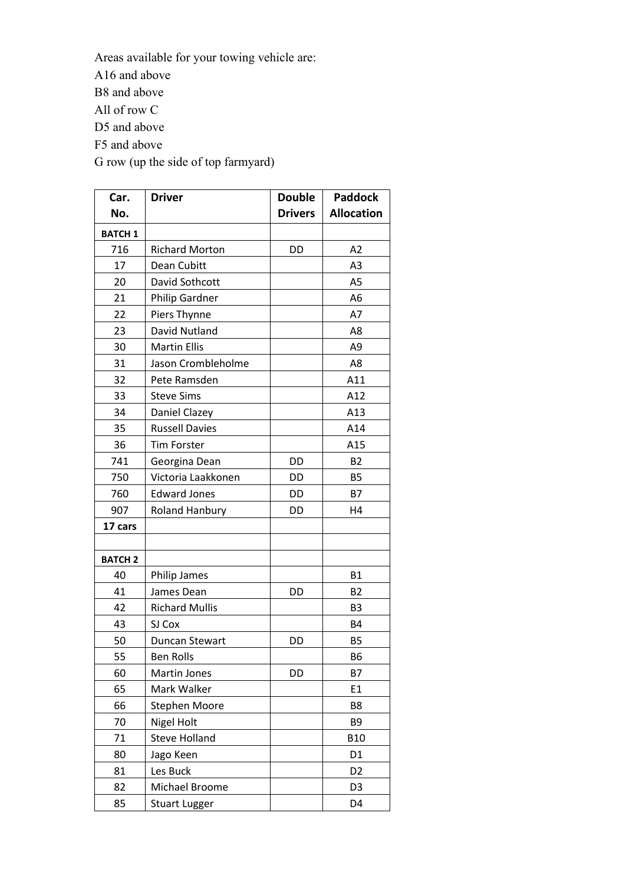Areas available for your towing vehicle are:

A16 and above

B8 and above

All of row C

D5 and above

F5 and above

G row (up the side of top farmyard)

| Car.           | <b>Driver</b>         | <b>Double</b>  | <b>Paddock</b>    |
|----------------|-----------------------|----------------|-------------------|
| No.            |                       | <b>Drivers</b> | <b>Allocation</b> |
| <b>BATCH 1</b> |                       |                |                   |
| 716            | <b>Richard Morton</b> | DD             | A2                |
| 17             | Dean Cubitt           |                | A3                |
| 20             | David Sothcott        |                | A <sub>5</sub>    |
| 21             | <b>Philip Gardner</b> |                | A <sub>6</sub>    |
| 22             | Piers Thynne          |                | A7                |
| 23             | David Nutland         |                | A8                |
| 30             | <b>Martin Ellis</b>   |                | A <sub>9</sub>    |
| 31             | Jason Crombleholme    |                | A8                |
| 32             | Pete Ramsden          |                | A11               |
| 33             | <b>Steve Sims</b>     |                | A12               |
| 34             | Daniel Clazey         |                | A13               |
| 35             | <b>Russell Davies</b> |                | A14               |
| 36             | <b>Tim Forster</b>    |                | A15               |
| 741            | Georgina Dean         | DD             | <b>B2</b>         |
| 750            | Victoria Laakkonen    | DD             | <b>B5</b>         |
| 760            | <b>Edward Jones</b>   | DD             | <b>B7</b>         |
| 907            | <b>Roland Hanbury</b> | DD             | H4                |
| 17 cars        |                       |                |                   |
|                |                       |                |                   |
| <b>BATCH 2</b> |                       |                |                   |
| 40             | <b>Philip James</b>   |                | <b>B1</b>         |
| 41             | James Dean            | DD             | <b>B2</b>         |
| 42             | <b>Richard Mullis</b> |                | B <sub>3</sub>    |
| 43             | SJ Cox                |                | <b>B4</b>         |
| 50             | Duncan Stewart        | DD             | <b>B5</b>         |
| 55             | <b>Ben Rolls</b>      |                | <b>B6</b>         |
| 60             | Martin Jones          | DD             | <b>B7</b>         |
| 65             | Mark Walker           |                | E1                |
| 66             | <b>Stephen Moore</b>  |                | B8                |
| 70             | <b>Nigel Holt</b>     |                | B9                |
| 71             | <b>Steve Holland</b>  |                | <b>B10</b>        |
| 80             | Jago Keen             |                | D <sub>1</sub>    |
| 81             | Les Buck              |                | D <sub>2</sub>    |
| 82             | Michael Broome        |                | D <sub>3</sub>    |
| 85             | <b>Stuart Lugger</b>  |                | D4                |